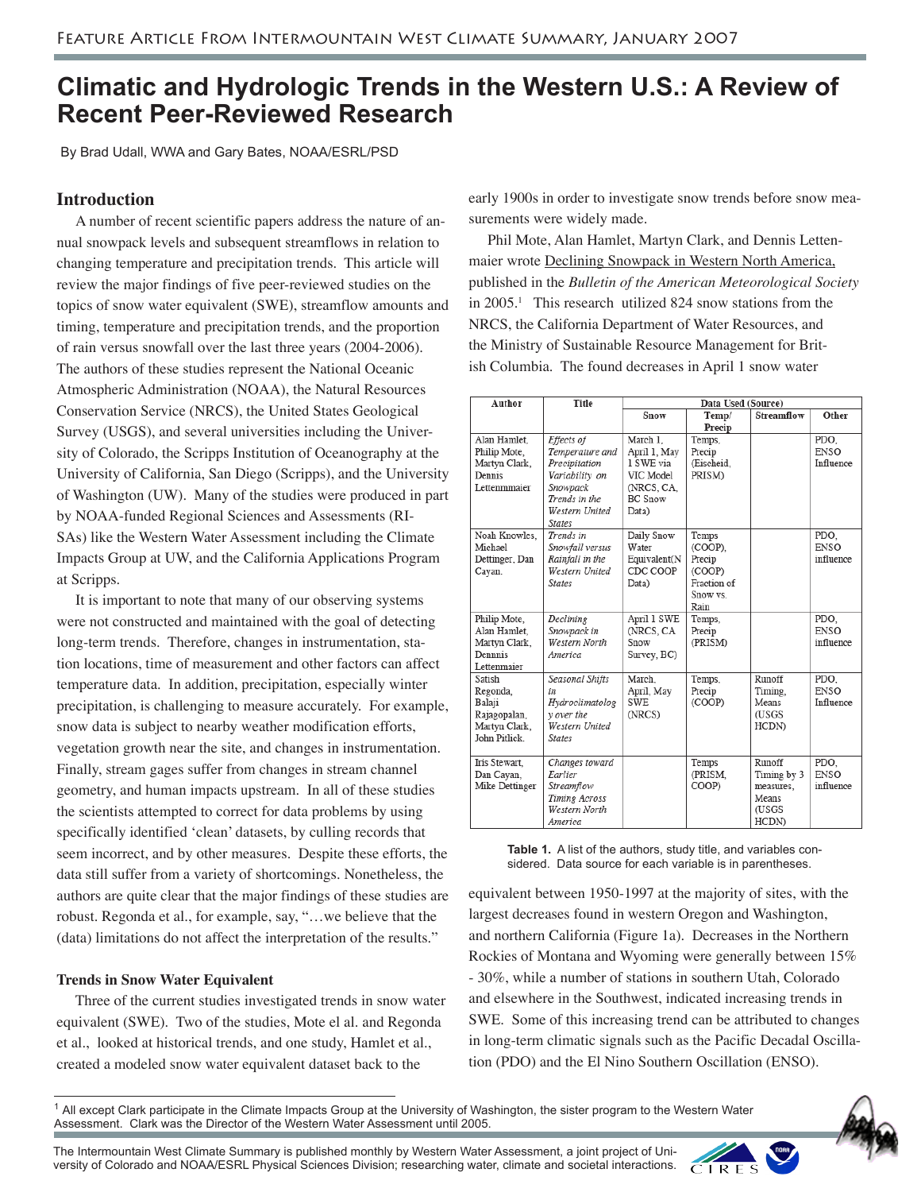# **Climatic and Hydrologic Trends in the Western U.S.: A Review of Recent Peer-Reviewed Research**

By Brad Udall, WWA and Gary Bates, NOAA/ESRL/PSD

# **Introduction**

 A number of recent scientific papers address the nature of annual snowpack levels and subsequent streamflows in relation to changing temperature and precipitation trends. This article will review the major findings of five peer-reviewed studies on the topics of snow water equivalent (SWE), streamflow amounts and timing, temperature and precipitation trends, and the proportion of rain versus snowfall over the last three years (2004-2006). The authors of these studies represent the National Oceanic Atmospheric Administration (NOAA), the Natural Resources Conservation Service (NRCS), the United States Geological Survey (USGS), and several universities including the University of Colorado, the Scripps Institution of Oceanography at the University of California, San Diego (Scripps), and the University of Washington (UW). Many of the studies were produced in part by NOAA-funded Regional Sciences and Assessments (RI-SAs) like the Western Water Assessment including the Climate Impacts Group at UW, and the California Applications Program at Scripps.

 It is important to note that many of our observing systems were not constructed and maintained with the goal of detecting long-term trends. Therefore, changes in instrumentation, station locations, time of measurement and other factors can affect temperature data. In addition, precipitation, especially winter precipitation, is challenging to measure accurately. For example, snow data is subject to nearby weather modification efforts, vegetation growth near the site, and changes in instrumentation. Finally, stream gages suffer from changes in stream channel geometry, and human impacts upstream. In all of these studies the scientists attempted to correct for data problems by using specifically identified 'clean' datasets, by culling records that seem incorrect, and by other measures. Despite these efforts, the data still suffer from a variety of shortcomings. Nonetheless, the authors are quite clear that the major findings of these studies are robust. Regonda et al., for example, say, "…we believe that the (data) limitations do not affect the interpretation of the results."

# **Trends in Snow Water Equivalent**

 Three of the current studies investigated trends in snow water equivalent (SWE). Two of the studies, Mote el al. and Regonda et al., looked at historical trends, and one study, Hamlet et al., created a modeled snow water equivalent dataset back to the

early 1900s in order to investigate snow trends before snow measurements were widely made.

 Phil Mote, Alan Hamlet, Martyn Clark, and Dennis Lettenmaier wrote Declining Snowpack in Western North America, published in the *Bulletin of the American Meteorological Society* in 2005.1 This research utilized 824 snow stations from the NRCS, the California Department of Water Resources, and the Ministry of Sustainable Resource Management for British Columbia. The found decreases in April 1 snow water

| Author              | Title                        | Data Used (Source) |             |             |             |
|---------------------|------------------------------|--------------------|-------------|-------------|-------------|
|                     |                              | Snow               | Temp/       | Streamflow  | Other       |
|                     |                              |                    | Precip      |             |             |
| Alan Hamlet.        | Effects of                   | March 1.           | Temps,      |             | PDO.        |
| Philip Mote,        | Temperature and              | April 1. May       | Precip      |             | <b>ENSO</b> |
| Martyn Clark,       | Precipitation                | 1 SWE via          | (Eischeid,  |             | Influence   |
| Dennis              | Variability on               | VIC Model          | PRISM)      |             |             |
| <b>Lettenmmajer</b> | Snowpack                     | (NRCS, CA.         |             |             |             |
|                     | Trends in the                | <b>BC</b> Snow     |             |             |             |
|                     | Western United               | Data)              |             |             |             |
|                     | <b>States</b>                |                    |             |             |             |
| Noah Knowles.       | Trends in                    | Daily Snow         | Temps       |             | PDO.        |
| Michael             | Snowfall versus              | Water              | (COOP).     |             | <b>ENSO</b> |
| Dettinger, Dan      | Rainfall in the              | Equivalent(N       | Precip      |             | influence   |
| Cayan.              | Western United               | CDC COOP           | (COOP)      |             |             |
|                     | States                       | Data)              | Fraction of |             |             |
|                     |                              |                    | Snow vs.    |             |             |
|                     |                              |                    | Rain        |             |             |
| Philip Mote,        | Declining                    | April 1 SWE        | Temps,      |             | PDO.        |
| Alan Hamlet,        | Snowpack in                  | (NRCS, CA          | Precip      |             | <b>ENSO</b> |
| Martyn Clark.       | Western North                | Snow               | (PRISM)     |             | influence   |
| Dennnis             | America                      | Survey, BC)        |             |             |             |
| Lettenmaier         |                              |                    |             |             |             |
| Satish              | Seasonal Shifts              | March.             | Temps,      | Runoff      | PDO.        |
| Regonda.            | in                           | April, May         | Precip      | Timing.     | <b>ENSO</b> |
| Balaji              | Hydroclimatolog              | SWF.               | (COOP)      | Means       | Influence   |
| Rajagopalan,        | y over the                   | (NRCS)             |             | (USGS       |             |
| Martyn Clark,       | Western United               |                    |             | HCDN)       |             |
| John Pitlick.       | <b>States</b>                |                    |             |             |             |
|                     |                              |                    |             |             |             |
| Iris Stewart.       | Changes toward               |                    | Temps       | Runoff      | PDO.        |
| Dan Cavan.          | <b><i><u>Earlier</u></i></b> |                    | (PRISM.     | Timing by 3 | <b>ENSO</b> |
| Mike Dettinger      | Streamflow                   |                    | COOP)       | measures.   | influence   |
|                     | Timing Across                |                    |             | Means       |             |
|                     | Western North                |                    |             | (USGS       |             |
|                     | America                      |                    |             | HCDN)       |             |

**Table 1.** A list of the authors, study title, and variables considered. Data source for each variable is in parentheses.

equivalent between 1950-1997 at the majority of sites, with the largest decreases found in western Oregon and Washington, and northern California (Figure 1a). Decreases in the Northern Rockies of Montana and Wyoming were generally between 15% - 30%, while a number of stations in southern Utah, Colorado and elsewhere in the Southwest, indicated increasing trends in SWE. Some of this increasing trend can be attributed to changes in long-term climatic signals such as the Pacific Decadal Oscillation (PDO) and the El Nino Southern Oscillation (ENSO).

<sup>1</sup> All except Clark participate in the Climate Impacts Group at the University of Washington, the sister program to the Western Water Assessment. Clark was the Director of the Western Water Assessment until 2005.



The Intermountain West Climate Summary is published monthly by Western Water Assessment, a joint project of University of Colorado and NOAA/ESRL Physical Sciences Division; researching water, climate and societal interactions.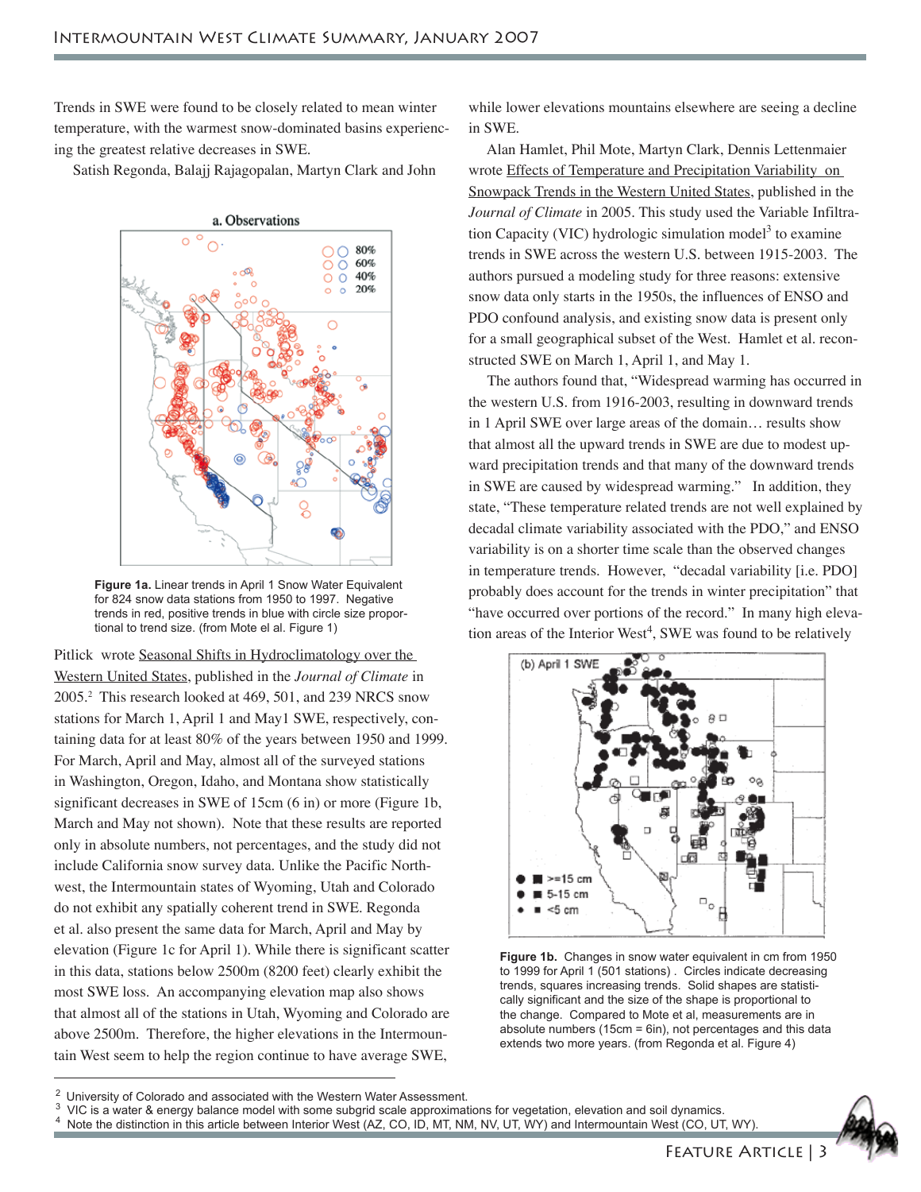Trends in SWE were found to be closely related to mean winter temperature, with the warmest snow-dominated basins experiencing the greatest relative decreases in SWE.

Satish Regonda, Balajj Rajagopalan, Martyn Clark and John



**Figure 1a.** Linear trends in April 1 Snow Water Equivalent for 824 snow data stations from 1950 to 1997. Negative trends in red, positive trends in blue with circle size proportional to trend size. (from Mote el al. Figure 1)

Pitlick wrote Seasonal Shifts in Hydroclimatology over the Western United States, published in the *Journal of Climate* in 2005.2 This research looked at 469, 501, and 239 NRCS snow stations for March 1, April 1 and May1 SWE, respectively, containing data for at least 80% of the years between 1950 and 1999. For March, April and May, almost all of the surveyed stations in Washington, Oregon, Idaho, and Montana show statistically significant decreases in SWE of 15cm (6 in) or more (Figure 1b, March and May not shown). Note that these results are reported only in absolute numbers, not percentages, and the study did not include California snow survey data. Unlike the Pacific Northwest, the Intermountain states of Wyoming, Utah and Colorado do not exhibit any spatially coherent trend in SWE. Regonda et al. also present the same data for March, April and May by elevation (Figure 1c for April 1). While there is significant scatter in this data, stations below 2500m (8200 feet) clearly exhibit the most SWE loss. An accompanying elevation map also shows that almost all of the stations in Utah, Wyoming and Colorado are above 2500m. Therefore, the higher elevations in the Intermountain West seem to help the region continue to have average SWE,

while lower elevations mountains elsewhere are seeing a decline in SWE.

 Alan Hamlet, Phil Mote, Martyn Clark, Dennis Lettenmaier wrote Effects of Temperature and Precipitation Variability on Snowpack Trends in the Western United States, published in the *Journal of Climate* in 2005. This study used the Variable Infiltration Capacity (VIC) hydrologic simulation model<sup>3</sup> to examine trends in SWE across the western U.S. between 1915-2003. The authors pursued a modeling study for three reasons: extensive snow data only starts in the 1950s, the influences of ENSO and PDO confound analysis, and existing snow data is present only for a small geographical subset of the West. Hamlet et al. reconstructed SWE on March 1, April 1, and May 1.

 The authors found that, "Widespread warming has occurred in the western U.S. from 1916-2003, resulting in downward trends in 1 April SWE over large areas of the domain… results show that almost all the upward trends in SWE are due to modest upward precipitation trends and that many of the downward trends in SWE are caused by widespread warming." In addition, they state, "These temperature related trends are not well explained by decadal climate variability associated with the PDO," and ENSO variability is on a shorter time scale than the observed changes in temperature trends. However, "decadal variability [i.e. PDO] probably does account for the trends in winter precipitation" that "have occurred over portions of the record." In many high elevation areas of the Interior West<sup>4</sup>, SWE was found to be relatively



**Figure 1b.** Changes in snow water equivalent in cm from 1950 to 1999 for April 1 (501 stations) . Circles indicate decreasing trends, squares increasing trends. Solid shapes are statistically significant and the size of the shape is proportional to the change. Compared to Mote et al, measurements are in absolute numbers (15cm = 6in), not percentages and this data extends two more years. (from Regonda et al. Figure 4)

<sup>3</sup> VIC is a water & energy balance model with some subgrid scale approximations for vegetation, elevation and soil dynamics.<br><sup>4</sup> Note the distinction in this article between Interior West (AZCO JD MT NM NV LIT WY) and In

Note the distinction in this article between Interior West (AZ, CO, ID, MT, NM, NV, UT, WY) and Intermountain West (CO, UT, WY).



University of Colorado and associated with the Western Water Assessment.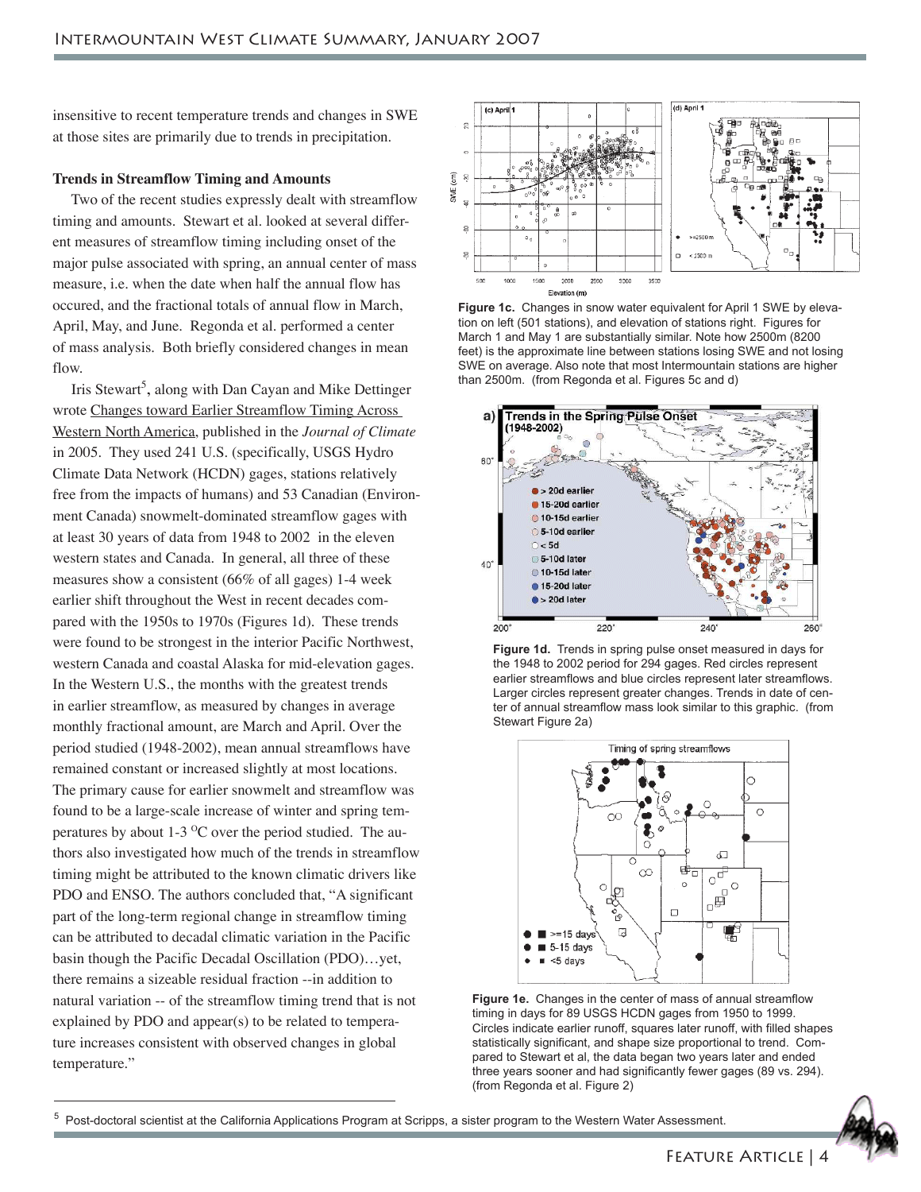insensitive to recent temperature trends and changes in SWE at those sites are primarily due to trends in precipitation.

## **Trends in Streamflow Timing and Amounts**

 Two of the recent studies expressly dealt with streamflow timing and amounts. Stewart et al. looked at several different measures of streamflow timing including onset of the major pulse associated with spring, an annual center of mass measure, i.e. when the date when half the annual flow has occured, and the fractional totals of annual flow in March, April, May, and June. Regonda et al. performed a center of mass analysis. Both briefly considered changes in mean flow.

Iris Stewart<sup>5</sup>, along with Dan Cayan and Mike Dettinger wrote Changes toward Earlier Streamflow Timing Across Western North America, published in the *Journal of Climate* in 2005. They used 241 U.S. (specifically, USGS Hydro Climate Data Network (HCDN) gages, stations relatively free from the impacts of humans) and 53 Canadian (Environment Canada) snowmelt-dominated streamflow gages with at least 30 years of data from 1948 to 2002 in the eleven western states and Canada. In general, all three of these measures show a consistent (66% of all gages) 1-4 week earlier shift throughout the West in recent decades compared with the 1950s to 1970s (Figures 1d). These trends were found to be strongest in the interior Pacific Northwest, western Canada and coastal Alaska for mid-elevation gages. In the Western U.S., the months with the greatest trends in earlier streamflow, as measured by changes in average monthly fractional amount, are March and April. Over the period studied (1948-2002), mean annual streamflows have remained constant or increased slightly at most locations. The primary cause for earlier snowmelt and streamflow was found to be a large-scale increase of winter and spring temperatures by about  $1-3$  °C over the period studied. The authors also investigated how much of the trends in streamflow timing might be attributed to the known climatic drivers like PDO and ENSO. The authors concluded that, "A significant part of the long-term regional change in streamflow timing can be attributed to decadal climatic variation in the Pacific basin though the Pacific Decadal Oscillation (PDO)…yet, there remains a sizeable residual fraction --in addition to natural variation -- of the streamflow timing trend that is not explained by PDO and appear(s) to be related to temperature increases consistent with observed changes in global temperature."



**Figure 1c.** Changes in snow water equivalent for April 1 SWE by elevation on left (501 stations), and elevation of stations right. Figures for March 1 and May 1 are substantially similar. Note how 2500m (8200 feet) is the approximate line between stations losing SWE and not losing SWE on average. Also note that most Intermountain stations are higher than 2500m. (from Regonda et al. Figures 5c and d)



**Figure 1d.** Trends in spring pulse onset measured in days for the 1948 to 2002 period for 294 gages. Red circles represent earlier streamflows and blue circles represent later streamflows. Larger circles represent greater changes. Trends in date of center of annual streamflow mass look similar to this graphic. (from Stewart Figure 2a)



**Figure 1e.** Changes in the center of mass of annual streamflow timing in days for 89 USGS HCDN gages from 1950 to 1999. Circles indicate earlier runoff, squares later runoff, with filled shapes statistically significant, and shape size proportional to trend. Compared to Stewart et al, the data began two years later and ended three years sooner and had significantly fewer gages (89 vs. 294). (from Regonda et al. Figure 2)

<sup>5</sup> Post-doctoral scientist at the California Applications Program at Scripps, a sister program to the Western Water Assessment.

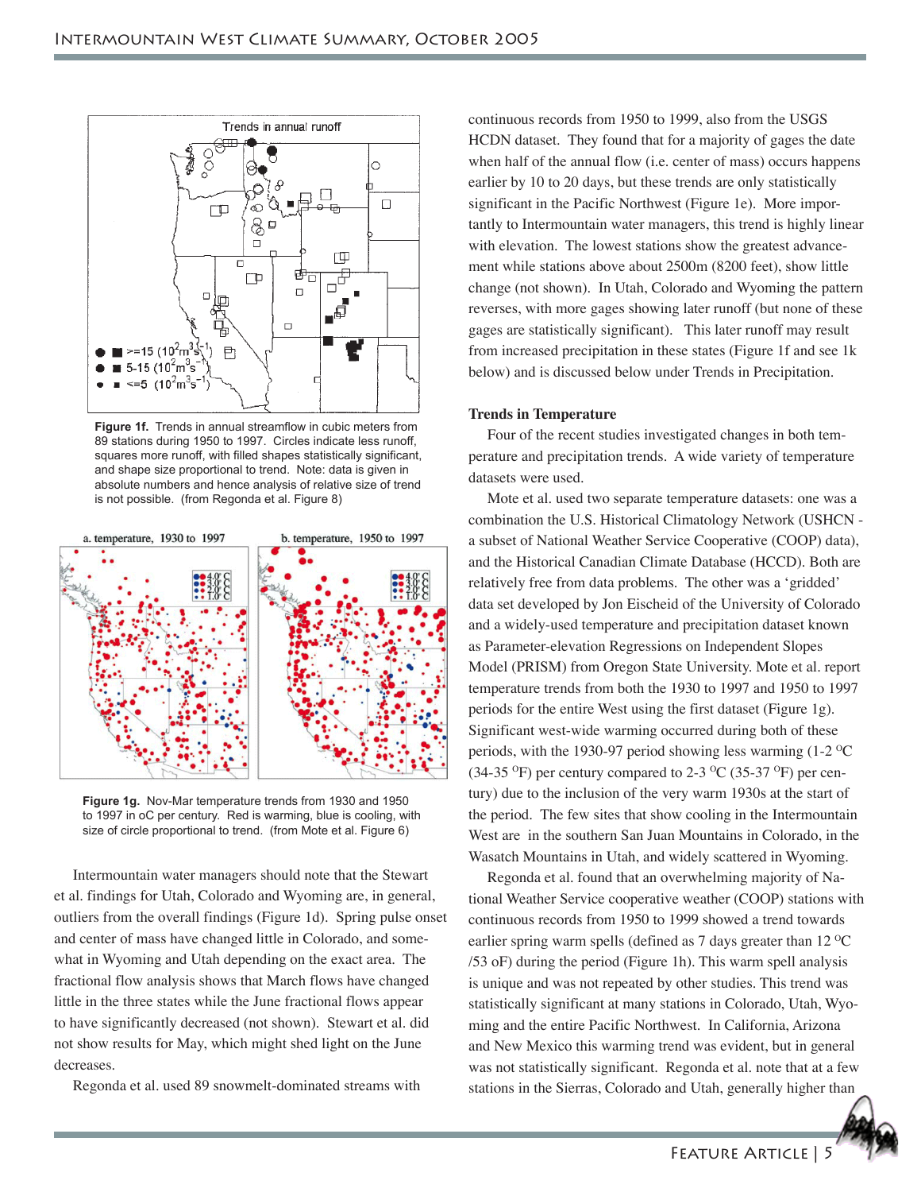

**Figure 1f.** Trends in annual streamflow in cubic meters from 89 stations during 1950 to 1997. Circles indicate less runoff, squares more runoff, with filled shapes statistically significant, and shape size proportional to trend. Note: data is given in absolute numbers and hence analysis of relative size of trend is not possible. (from Regonda et al. Figure 8)



**Figure 1g.** Nov-Mar temperature trends from 1930 and 1950 to 1997 in oC per century. Red is warming, blue is cooling, with size of circle proportional to trend. (from Mote et al. Figure 6)

 Intermountain water managers should note that the Stewart et al. findings for Utah, Colorado and Wyoming are, in general, outliers from the overall findings (Figure 1d). Spring pulse onset and center of mass have changed little in Colorado, and somewhat in Wyoming and Utah depending on the exact area. The fractional flow analysis shows that March flows have changed little in the three states while the June fractional flows appear to have significantly decreased (not shown). Stewart et al. did not show results for May, which might shed light on the June decreases.

Regonda et al. used 89 snowmelt-dominated streams with

continuous records from 1950 to 1999, also from the USGS HCDN dataset. They found that for a majority of gages the date when half of the annual flow (i.e. center of mass) occurs happens earlier by 10 to 20 days, but these trends are only statistically significant in the Pacific Northwest (Figure 1e). More importantly to Intermountain water managers, this trend is highly linear with elevation. The lowest stations show the greatest advancement while stations above about 2500m (8200 feet), show little change (not shown). In Utah, Colorado and Wyoming the pattern reverses, with more gages showing later runoff (but none of these gages are statistically significant). This later runoff may result from increased precipitation in these states (Figure 1f and see 1k below) and is discussed below under Trends in Precipitation.

#### **Trends in Temperature**

 Four of the recent studies investigated changes in both temperature and precipitation trends. A wide variety of temperature datasets were used.

 Mote et al. used two separate temperature datasets: one was a combination the U.S. Historical Climatology Network (USHCN a subset of National Weather Service Cooperative (COOP) data), and the Historical Canadian Climate Database (HCCD). Both are relatively free from data problems. The other was a 'gridded' data set developed by Jon Eischeid of the University of Colorado and a widely-used temperature and precipitation dataset known as Parameter-elevation Regressions on Independent Slopes Model (PRISM) from Oregon State University. Mote et al. report temperature trends from both the 1930 to 1997 and 1950 to 1997 periods for the entire West using the first dataset (Figure 1g). Significant west-wide warming occurred during both of these periods, with the 1930-97 period showing less warming  $(1-2)$ <sup>O</sup>C (34-35  $\mathrm{^{\circ}F}$ ) per century compared to 2-3  $\mathrm{^{\circ}C}$  (35-37  $\mathrm{^{\circ}F}$ ) per century) due to the inclusion of the very warm 1930s at the start of the period. The few sites that show cooling in the Intermountain West are in the southern San Juan Mountains in Colorado, in the Wasatch Mountains in Utah, and widely scattered in Wyoming.

 Regonda et al. found that an overwhelming majority of National Weather Service cooperative weather (COOP) stations with continuous records from 1950 to 1999 showed a trend towards earlier spring warm spells (defined as  $7$  days greater than  $12 \,^{\circ}\text{C}$ /53 oF) during the period (Figure 1h). This warm spell analysis is unique and was not repeated by other studies. This trend was statistically significant at many stations in Colorado, Utah, Wyoming and the entire Pacific Northwest. In California, Arizona and New Mexico this warming trend was evident, but in general was not statistically significant. Regonda et al. note that at a few stations in the Sierras, Colorado and Utah, generally higher than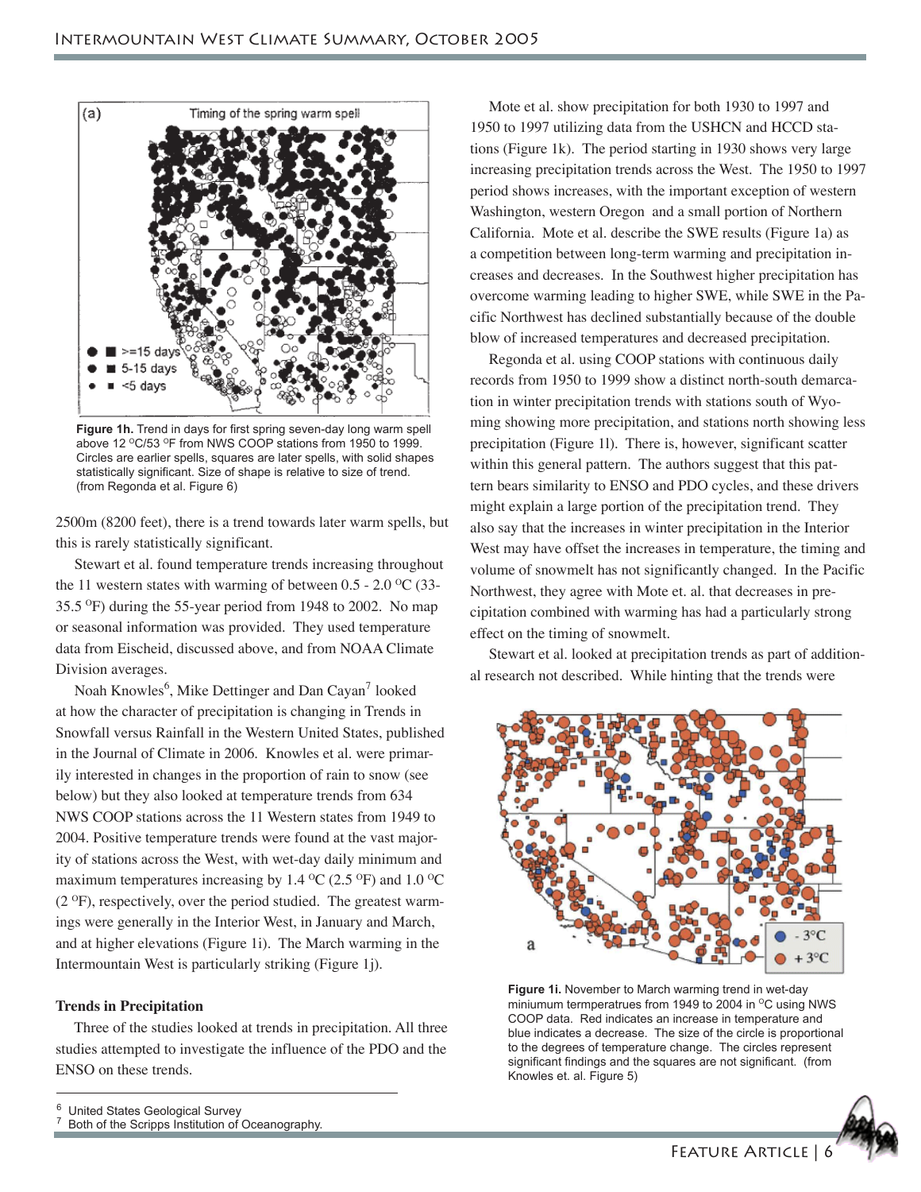

**Figure 1h.** Trend in days for first spring seven-day long warm spell above 12 °C/53 °F from NWS COOP stations from 1950 to 1999. Circles are earlier spells, squares are later spells, with solid shapes statistically significant. Size of shape is relative to size of trend. (from Regonda et al. Figure 6)

2500m (8200 feet), there is a trend towards later warm spells, but this is rarely statistically significant.

 Stewart et al. found temperature trends increasing throughout the 11 western states with warming of between  $0.5 - 2.0 \degree$ C (33- $35.5 \text{ °F}$ ) during the 55-year period from 1948 to 2002. No map or seasonal information was provided. They used temperature data from Eischeid, discussed above, and from NOAA Climate Division averages.

Noah Knowles<sup>6</sup>, Mike Dettinger and Dan Cayan<sup>7</sup> looked at how the character of precipitation is changing in Trends in Snowfall versus Rainfall in the Western United States, published in the Journal of Climate in 2006. Knowles et al. were primarily interested in changes in the proportion of rain to snow (see below) but they also looked at temperature trends from 634 NWS COOP stations across the 11 Western states from 1949 to 2004. Positive temperature trends were found at the vast majority of stations across the West, with wet-day daily minimum and maximum temperatures increasing by 1.4  $\rm{^{\circ}C}$  (2.5  $\rm{^{\circ}F}$ ) and 1.0  $\rm{^{\circ}C}$  $(2 \text{ }^{\circ}\text{F})$ , respectively, over the period studied. The greatest warmings were generally in the Interior West, in January and March, and at higher elevations (Figure 1i). The March warming in the Intermountain West is particularly striking (Figure 1j).

## **Trends in Precipitation**

 Three of the studies looked at trends in precipitation. All three studies attempted to investigate the influence of the PDO and the ENSO on these trends.

 Mote et al. show precipitation for both 1930 to 1997 and 1950 to 1997 utilizing data from the USHCN and HCCD stations (Figure 1k). The period starting in 1930 shows very large increasing precipitation trends across the West. The 1950 to 1997 period shows increases, with the important exception of western Washington, western Oregon and a small portion of Northern California. Mote et al. describe the SWE results (Figure 1a) as a competition between long-term warming and precipitation increases and decreases. In the Southwest higher precipitation has overcome warming leading to higher SWE, while SWE in the Pacific Northwest has declined substantially because of the double blow of increased temperatures and decreased precipitation.

 Regonda et al. using COOP stations with continuous daily records from 1950 to 1999 show a distinct north-south demarcation in winter precipitation trends with stations south of Wyoming showing more precipitation, and stations north showing less precipitation (Figure 1l). There is, however, significant scatter within this general pattern. The authors suggest that this pattern bears similarity to ENSO and PDO cycles, and these drivers might explain a large portion of the precipitation trend. They also say that the increases in winter precipitation in the Interior West may have offset the increases in temperature, the timing and volume of snowmelt has not significantly changed. In the Pacific Northwest, they agree with Mote et. al. that decreases in precipitation combined with warming has had a particularly strong effect on the timing of snowmelt.

 Stewart et al. looked at precipitation trends as part of additional research not described. While hinting that the trends were



**Figure 1i.** November to March warming trend in wet-day miniumum termperatrues from 1949 to 2004 in  $\mathrm{^{\circ}C}$  using NWS COOP data. Red indicates an increase in temperature and blue indicates a decrease. The size of the circle is proportional to the degrees of temperature change. The circles represent significant findings and the squares are not significant. (from Knowles et. al. Figure 5)



<sup>6</sup> United States Geological Survey

<sup>7</sup> Both of the Scripps Institution of Oceanography.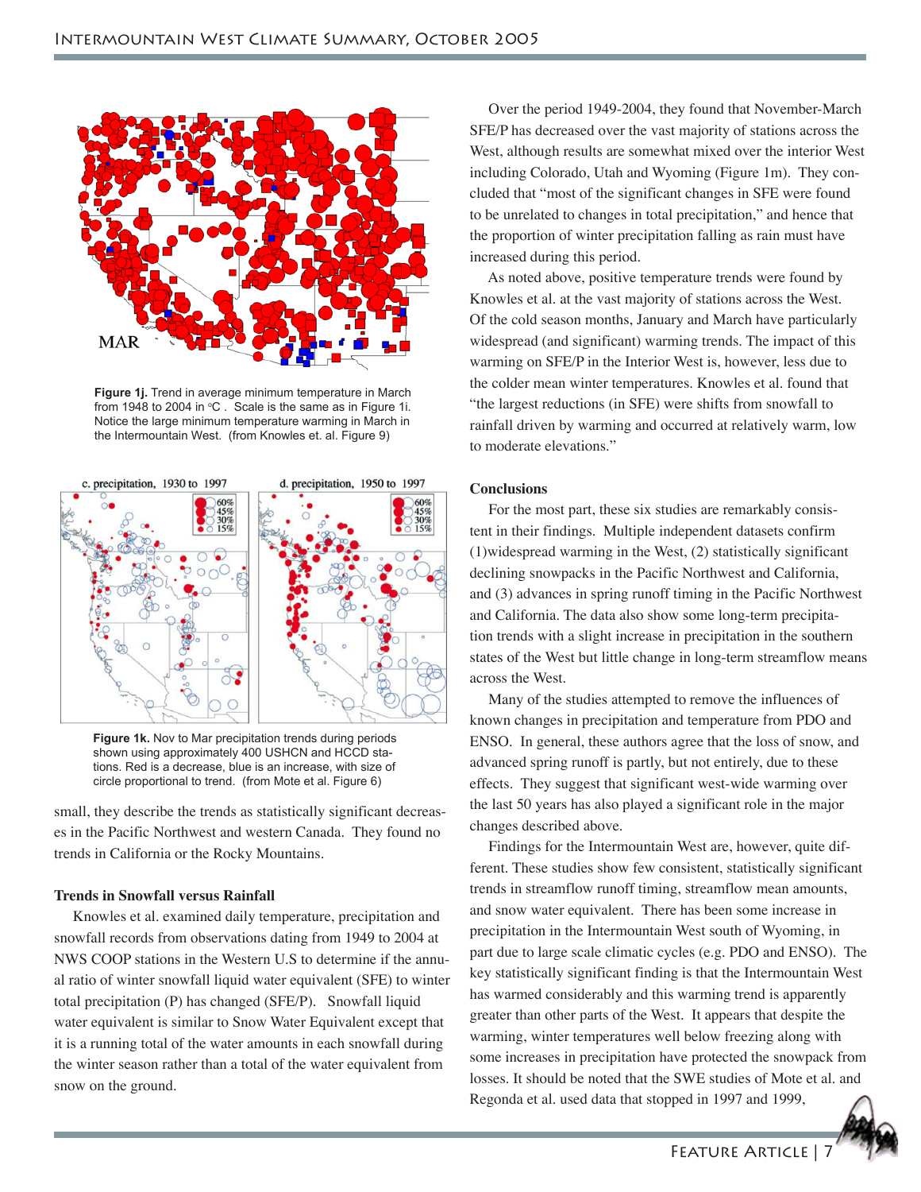

**Figure 1j.** Trend in average minimum temperature in March from 1948 to 2004 in  $°C$ . Scale is the same as in Figure 1i. Notice the large minimum temperature warming in March in the Intermountain West. (from Knowles et. al. Figure 9)



**Figure 1k.** Nov to Mar precipitation trends during periods shown using approximately 400 USHCN and HCCD stations. Red is a decrease, blue is an increase, with size of circle proportional to trend. (from Mote et al. Figure 6)

small, they describe the trends as statistically significant decreases in the Pacific Northwest and western Canada. They found no trends in California or the Rocky Mountains.

# **Trends in Snowfall versus Rainfall**

 Knowles et al. examined daily temperature, precipitation and snowfall records from observations dating from 1949 to 2004 at NWS COOP stations in the Western U.S to determine if the annual ratio of winter snowfall liquid water equivalent (SFE) to winter total precipitation (P) has changed (SFE/P). Snowfall liquid water equivalent is similar to Snow Water Equivalent except that it is a running total of the water amounts in each snowfall during the winter season rather than a total of the water equivalent from snow on the ground.

 Over the period 1949-2004, they found that November-March SFE/P has decreased over the vast majority of stations across the West, although results are somewhat mixed over the interior West including Colorado, Utah and Wyoming (Figure 1m). They concluded that "most of the significant changes in SFE were found to be unrelated to changes in total precipitation," and hence that the proportion of winter precipitation falling as rain must have increased during this period.

 As noted above, positive temperature trends were found by Knowles et al. at the vast majority of stations across the West. Of the cold season months, January and March have particularly widespread (and significant) warming trends. The impact of this warming on SFE/P in the Interior West is, however, less due to the colder mean winter temperatures. Knowles et al. found that "the largest reductions (in SFE) were shifts from snowfall to rainfall driven by warming and occurred at relatively warm, low to moderate elevations."

#### **Conclusions**

 For the most part, these six studies are remarkably consistent in their findings. Multiple independent datasets confirm (1)widespread warming in the West, (2) statistically significant declining snowpacks in the Pacific Northwest and California, and (3) advances in spring runoff timing in the Pacific Northwest and California. The data also show some long-term precipitation trends with a slight increase in precipitation in the southern states of the West but little change in long-term streamflow means across the West.

 Many of the studies attempted to remove the influences of known changes in precipitation and temperature from PDO and ENSO. In general, these authors agree that the loss of snow, and advanced spring runoff is partly, but not entirely, due to these effects. They suggest that significant west-wide warming over the last 50 years has also played a significant role in the major changes described above.

 Findings for the Intermountain West are, however, quite different. These studies show few consistent, statistically significant trends in streamflow runoff timing, streamflow mean amounts, and snow water equivalent. There has been some increase in precipitation in the Intermountain West south of Wyoming, in part due to large scale climatic cycles (e.g. PDO and ENSO). The key statistically significant finding is that the Intermountain West has warmed considerably and this warming trend is apparently greater than other parts of the West. It appears that despite the warming, winter temperatures well below freezing along with some increases in precipitation have protected the snowpack from losses. It should be noted that the SWE studies of Mote et al. and Regonda et al. used data that stopped in 1997 and 1999,